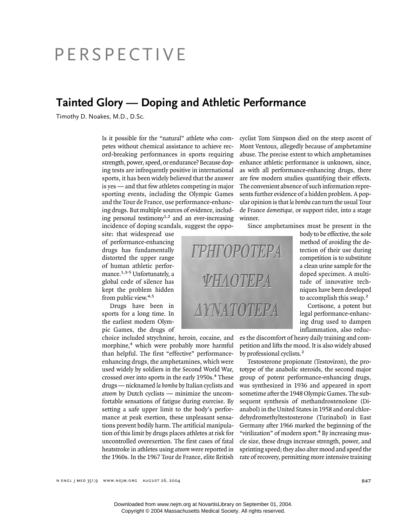## PERSPECTIVE

## **Tainted Glory — Doping and Athletic Performance**

Timothy D. Noakes, M.D., D.Sc.

Is it possible for the "natural" athlete who competes without chemical assistance to achieve record-breaking performances in sports requiring strength, power, speed, or endurance? Because doping tests are infrequently positive in international sports, it has been widely believed that the answer is yes — and that few athletes competing in major sporting events, including the Olympic Games and the Tour de France, use performance-enhancing drugs. But multiple sources of evidence, including personal testimony<sup>1,2</sup> and an ever-increasing incidence of doping scandals, suggest the oppo-

site: that widespread use of performance-enhancing drugs has fundamentally distorted the upper range of human athletic performance.<sup>1,3-5</sup> Unfortunately, a global code of silence has kept the problem hidden from public view.<sup>4,5</sup>

Drugs have been in sports for a long time. In the earliest modern Olympic Games, the drugs of

choice included strychnine, heroin, cocaine, and morphine,<sup>4</sup> which were probably more harmful than helpful. The first "effective" performanceenhancing drugs, the amphetamines, which were used widely by soldiers in the Second World War, crossed over into sports in the early 1950s.4 These drugs — nicknamed *la bomba* by Italian cyclists and *atoom* by Dutch cyclists — minimize the uncomfortable sensations of fatigue during exercise. By setting a safe upper limit to the body's performance at peak exertion, these unpleasant sensations prevent bodily harm. The artificial manipulation of this limit by drugs places athletes at risk for uncontrolled overexertion. The first cases of fatal heatstroke in athletes using *atoom* were reported in the 1960s. In the 1967 Tour de France, elite British

cyclist Tom Simpson died on the steep ascent of Mont Ventoux, allegedly because of amphetamine abuse. The precise extent to which amphetamines enhance athletic performance is unknown, since, as with all performance-enhancing drugs, there are few modern studies quantifying their effects. The convenient absence of such information represents further evidence of a hidden problem. A popular opinion is that *la bomba* can turn the usual Tour de France *domestique,* or support rider, into a stage winner.

Since amphetamines must be present in the

body to be effective, the sole method of avoiding the detection of their use during competition is to substitute a clean urine sample for the doped specimen. A multitude of innovative techniques have been developed to accomplish this swap.<sup>2</sup>

Cortisone, a potent but legal performance-enhancing drug used to dampen inflammation, also reduc-

es the discomfort of heavy daily training and competition and lifts the mood. It is also widely abused by professional cyclists.<sup>2</sup>

Testosterone propionate (Testoviron), the prototype of the anabolic steroids, the second major group of potent performance-enhancing drugs, was synthesized in 1936 and appeared in sport sometime after the 1948 Olympic Games. The subsequent synthesis of methandrostenolone (Dianabol) in the United States in 1958 and oral chlordehydromethyltestosterone (Turinabol) in East Germany after 1966 marked the beginning of the "virilization" of modern sport.<sup>4</sup> By increasing muscle size, these drugs increase strength, power, and sprinting speed; they also alter mood and speed the rate of recovery, permitting more intensive training

n ENGL J MED 351;9 WWW.NEJM.ORG AUGUST 26, 2004 847

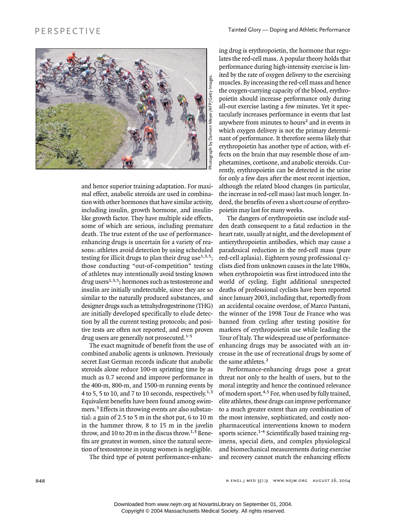

and hence superior training adaptation. For maximal effect, anabolic steroids are used in combination with other hormones that have similar activity, including insulin, growth hormone, and insulinlike growth factor. They have multiple side effects, some of which are serious, including premature death. The true extent of the use of performanceenhancing drugs is uncertain for a variety of reasons: athletes avoid detection by using scheduled testing for illicit drugs to plan their drug use<sup> $1,3,5$ </sup>; those conducting "out-of-competition" testing of athletes may intentionally avoid testing known drug users<sup>1,3,5</sup>; hormones such as testosterone and insulin are initially undetectable, since they are so similar to the naturally produced substances, and designer drugs such as tetrahydrogestrinone (THG) are initially developed specifically to elude detection by all the current testing protocols; and positive tests are often not reported, and even proven drug users are generally not prosecuted.<sup>1-5</sup>

The exact magnitude of benefit from the use of combined anabolic agents is unknown. Previously secret East German records indicate that anabolic steroids alone reduce 100-m sprinting time by as much as 0.7 second and improve performance in the 400-m, 800-m, and 1500-m running events by 4 to 5, 5 to 10, and 7 to 10 seconds, respectively.<sup>1,3</sup> Equivalent benefits have been found among swimmers.<sup>3</sup> Effects in throwing events are also substantial: a gain of 2.5 to 5 m in the shot put, 6 to 10 m in the hammer throw, 8 to 15 m in the javelin throw, and 10 to 20 m in the discus throw.<sup>1,3</sup> Benefits are greatest in women, since the natural secretion of testosterone in young women is negligible.

The third type of potent performance-enhanc-

ing drug is erythropoietin, the hormone that regulates the red-cell mass. A popular theory holds that performance during high-intensity exercise is limited by the rate of oxygen delivery to the exercising muscles. By increasing the red-cell mass and hence the oxygen-carrying capacity of the blood, erythropoietin should increase performance only during all-out exercise lasting a few minutes. Yet it spectacularly increases performance in events that last anywhere from minutes to hours<sup>2</sup> and in events in which oxygen delivery is not the primary determinant of performance. It therefore seems likely that erythropoietin has another type of action, with effects on the brain that may resemble those of amphetamines, cortisone, and anabolic steroids. Currently, erythropoietin can be detected in the urine for only a few days after the most recent injection, although the related blood changes (in particular, the increase in red-cell mass) last much longer. Indeed, the benefits of even a short course of erythropoietin may last for many weeks.

The dangers of erythropoietin use include sudden death consequent to a fatal reduction in the heart rate, usually at night, and the development of antierythropoietin antibodies, which may cause a paradoxical reduction in the red-cell mass (pure red-cell aplasia). Eighteen young professional cyclists died from unknown causes in the late 1980s, when erythropoietin was first introduced into the world of cycling. Eight additional unexpected deaths of professional cyclists have been reported since January 2003, including that, reportedly from an accidental cocaine overdose, of Marco Pantani, the winner of the 1998 Tour de France who was banned from cycling after testing positive for markers of erythropoietin use while leading the Tour of Italy. The widespread use of performanceenhancing drugs may be associated with an increase in the use of recreational drugs by some of the same athletes.<sup>2</sup>

Performance-enhancing drugs pose a great threat not only to the health of users, but to the moral integrity and hence the continued relevance of modern sport.<sup>4,5</sup> For, when used by fully trained, elite athletes, these drugs can improve performance to a much greater extent than any combination of the most intensive, sophisticated, and costly nonpharmaceutical interventions known to modern sports science.<sup>1-4</sup> Scientifically based training regimens, special diets, and complex physiological and biomechanical measurements during exercise and recovery cannot match the enhancing effects